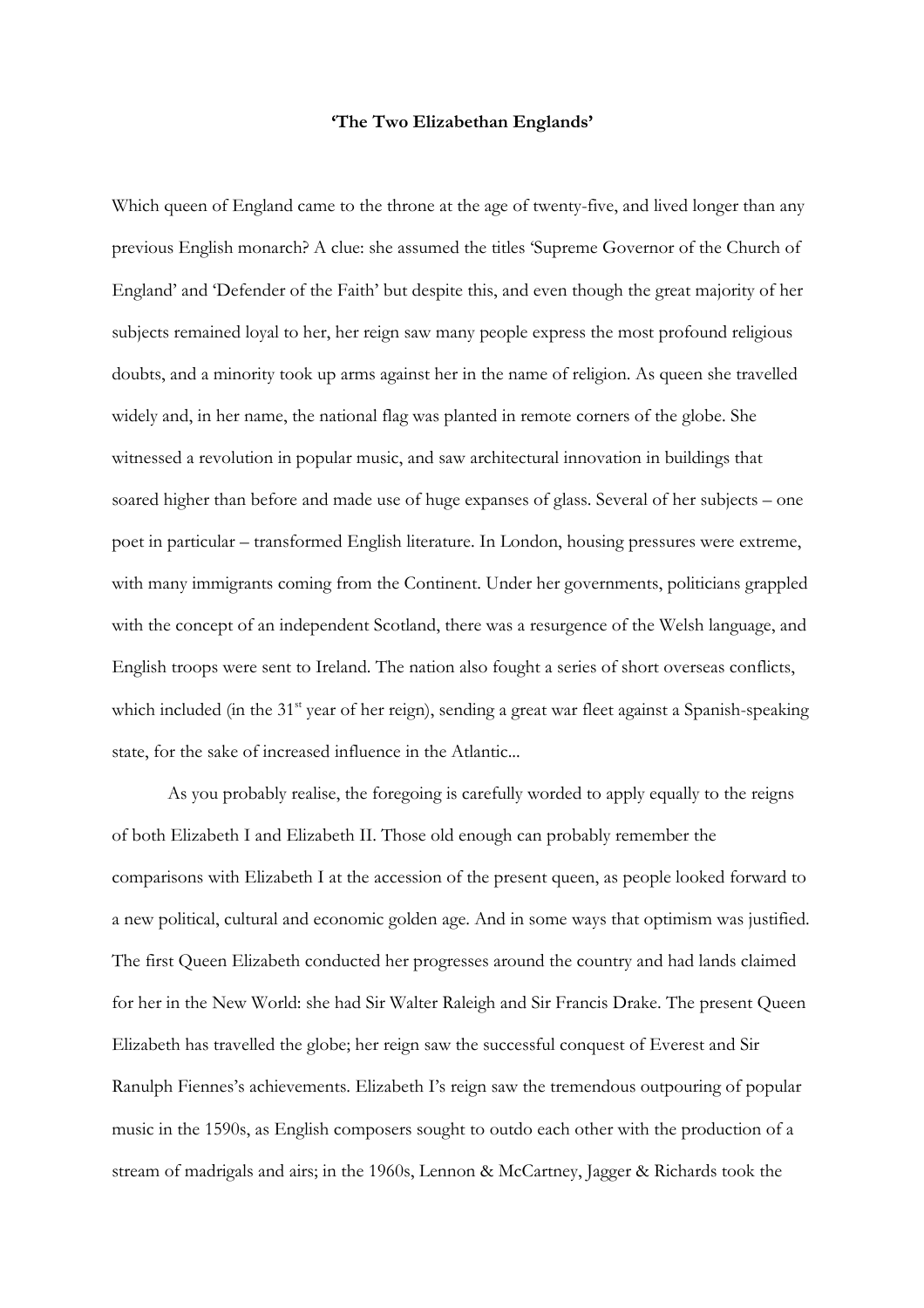## **'The Two Elizabethan Englands'**

Which queen of England came to the throne at the age of twenty-five, and lived longer than any previous English monarch? A clue: she assumed the titles 'Supreme Governor of the Church of England' and 'Defender of the Faith' but despite this, and even though the great majority of her subjects remained loyal to her, her reign saw many people express the most profound religious doubts, and a minority took up arms against her in the name of religion. As queen she travelled widely and, in her name, the national flag was planted in remote corners of the globe. She witnessed a revolution in popular music, and saw architectural innovation in buildings that soared higher than before and made use of huge expanses of glass. Several of her subjects – one poet in particular – transformed English literature. In London, housing pressures were extreme, with many immigrants coming from the Continent. Under her governments, politicians grappled with the concept of an independent Scotland, there was a resurgence of the Welsh language, and English troops were sent to Ireland. The nation also fought a series of short overseas conflicts, which included (in the 31<sup>st</sup> year of her reign), sending a great war fleet against a Spanish-speaking state, for the sake of increased influence in the Atlantic...

 As you probably realise, the foregoing is carefully worded to apply equally to the reigns of both Elizabeth I and Elizabeth II. Those old enough can probably remember the comparisons with Elizabeth I at the accession of the present queen, as people looked forward to a new political, cultural and economic golden age. And in some ways that optimism was justified. The first Queen Elizabeth conducted her progresses around the country and had lands claimed for her in the New World: she had Sir Walter Raleigh and Sir Francis Drake. The present Queen Elizabeth has travelled the globe; her reign saw the successful conquest of Everest and Sir Ranulph Fiennes's achievements. Elizabeth I's reign saw the tremendous outpouring of popular music in the 1590s, as English composers sought to outdo each other with the production of a stream of madrigals and airs; in the 1960s, Lennon & McCartney, Jagger & Richards took the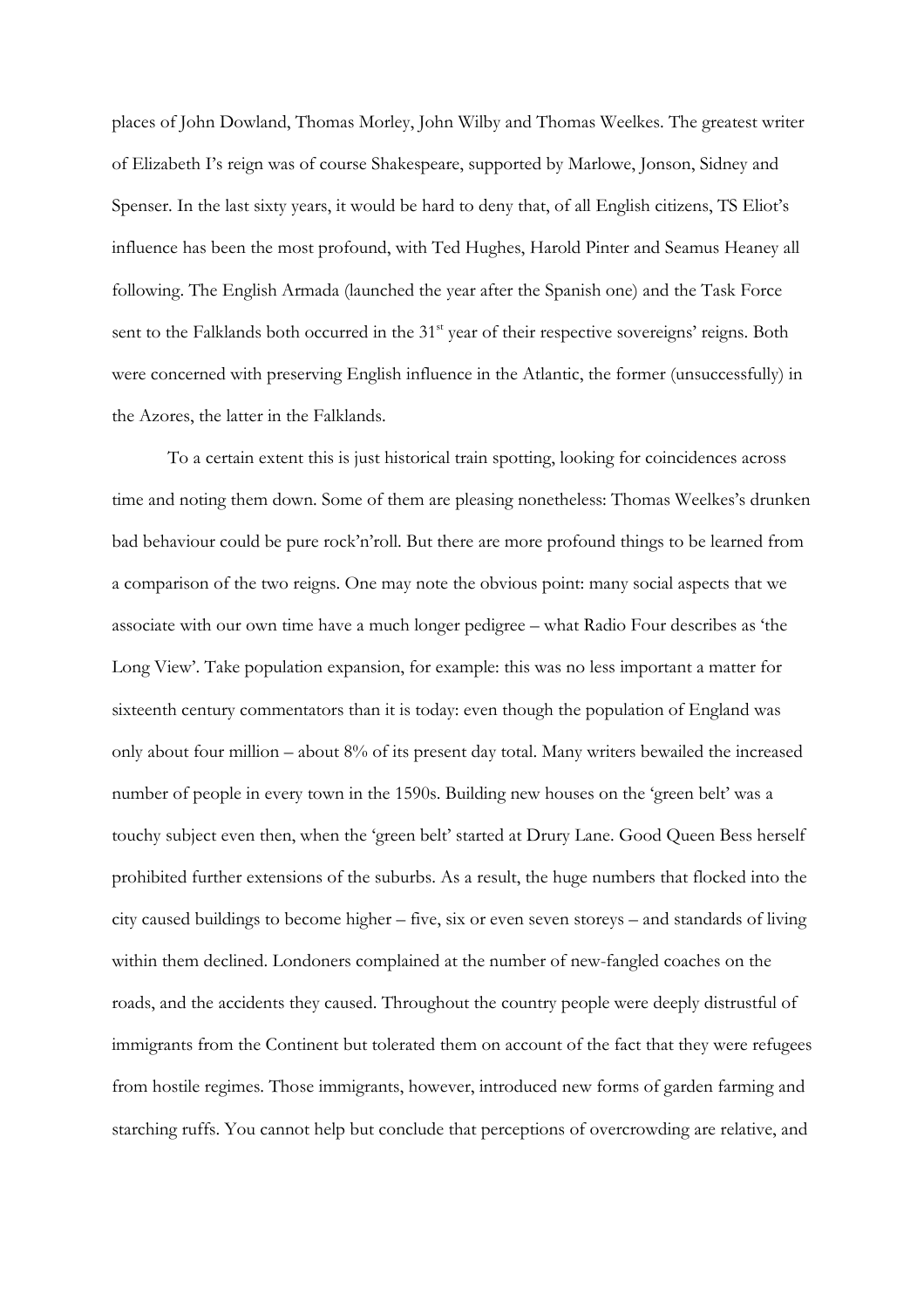places of John Dowland, Thomas Morley, John Wilby and Thomas Weelkes. The greatest writer of Elizabeth I's reign was of course Shakespeare, supported by Marlowe, Jonson, Sidney and Spenser. In the last sixty years, it would be hard to deny that, of all English citizens, TS Eliot's influence has been the most profound, with Ted Hughes, Harold Pinter and Seamus Heaney all following. The English Armada (launched the year after the Spanish one) and the Task Force sent to the Falklands both occurred in the 31<sup>st</sup> year of their respective sovereigns' reigns. Both were concerned with preserving English influence in the Atlantic, the former (unsuccessfully) in the Azores, the latter in the Falklands.

 To a certain extent this is just historical train spotting, looking for coincidences across time and noting them down. Some of them are pleasing nonetheless: Thomas Weelkes's drunken bad behaviour could be pure rock'n'roll. But there are more profound things to be learned from a comparison of the two reigns. One may note the obvious point: many social aspects that we associate with our own time have a much longer pedigree – what Radio Four describes as 'the Long View'. Take population expansion, for example: this was no less important a matter for sixteenth century commentators than it is today: even though the population of England was only about four million – about 8% of its present day total. Many writers bewailed the increased number of people in every town in the 1590s. Building new houses on the 'green belt' was a touchy subject even then, when the 'green belt' started at Drury Lane. Good Queen Bess herself prohibited further extensions of the suburbs. As a result, the huge numbers that flocked into the city caused buildings to become higher – five, six or even seven storeys – and standards of living within them declined. Londoners complained at the number of new-fangled coaches on the roads, and the accidents they caused. Throughout the country people were deeply distrustful of immigrants from the Continent but tolerated them on account of the fact that they were refugees from hostile regimes. Those immigrants, however, introduced new forms of garden farming and starching ruffs. You cannot help but conclude that perceptions of overcrowding are relative, and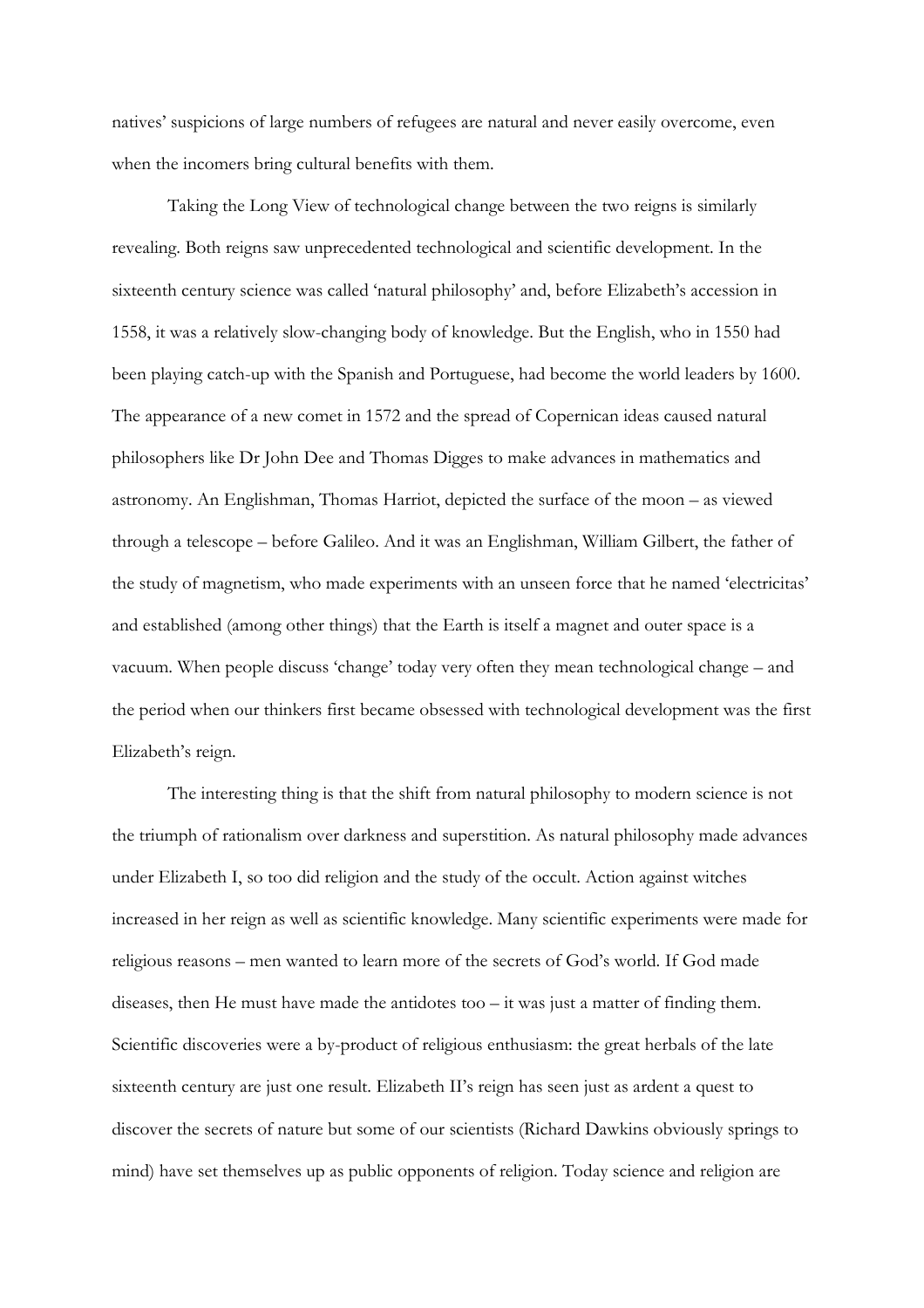natives' suspicions of large numbers of refugees are natural and never easily overcome, even when the incomers bring cultural benefits with them.

 Taking the Long View of technological change between the two reigns is similarly revealing. Both reigns saw unprecedented technological and scientific development. In the sixteenth century science was called 'natural philosophy' and, before Elizabeth's accession in 1558, it was a relatively slow-changing body of knowledge. But the English, who in 1550 had been playing catch-up with the Spanish and Portuguese, had become the world leaders by 1600. The appearance of a new comet in 1572 and the spread of Copernican ideas caused natural philosophers like Dr John Dee and Thomas Digges to make advances in mathematics and astronomy. An Englishman, Thomas Harriot, depicted the surface of the moon – as viewed through a telescope – before Galileo. And it was an Englishman, William Gilbert, the father of the study of magnetism, who made experiments with an unseen force that he named 'electricitas' and established (among other things) that the Earth is itself a magnet and outer space is a vacuum. When people discuss 'change' today very often they mean technological change – and the period when our thinkers first became obsessed with technological development was the first Elizabeth's reign.

The interesting thing is that the shift from natural philosophy to modern science is not the triumph of rationalism over darkness and superstition. As natural philosophy made advances under Elizabeth I, so too did religion and the study of the occult. Action against witches increased in her reign as well as scientific knowledge. Many scientific experiments were made for religious reasons – men wanted to learn more of the secrets of God's world. If God made diseases, then He must have made the antidotes too  $-$  it was just a matter of finding them. Scientific discoveries were a by-product of religious enthusiasm: the great herbals of the late sixteenth century are just one result. Elizabeth II's reign has seen just as ardent a quest to discover the secrets of nature but some of our scientists (Richard Dawkins obviously springs to mind) have set themselves up as public opponents of religion. Today science and religion are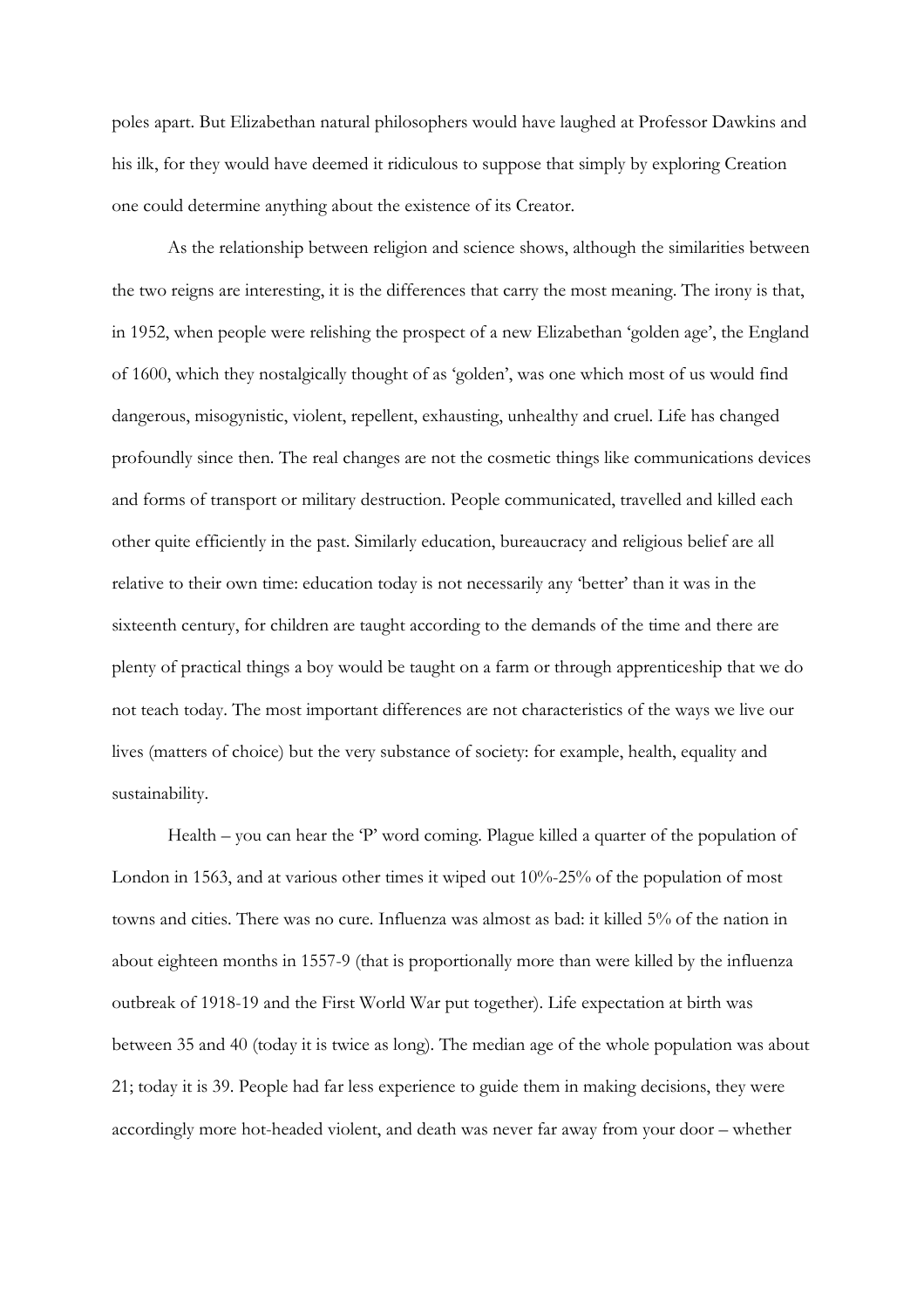poles apart. But Elizabethan natural philosophers would have laughed at Professor Dawkins and his ilk, for they would have deemed it ridiculous to suppose that simply by exploring Creation one could determine anything about the existence of its Creator.

 As the relationship between religion and science shows, although the similarities between the two reigns are interesting, it is the differences that carry the most meaning. The irony is that, in 1952, when people were relishing the prospect of a new Elizabethan 'golden age', the England of 1600, which they nostalgically thought of as 'golden', was one which most of us would find dangerous, misogynistic, violent, repellent, exhausting, unhealthy and cruel. Life has changed profoundly since then. The real changes are not the cosmetic things like communications devices and forms of transport or military destruction. People communicated, travelled and killed each other quite efficiently in the past. Similarly education, bureaucracy and religious belief are all relative to their own time: education today is not necessarily any 'better' than it was in the sixteenth century, for children are taught according to the demands of the time and there are plenty of practical things a boy would be taught on a farm or through apprenticeship that we do not teach today. The most important differences are not characteristics of the ways we live our lives (matters of choice) but the very substance of society: for example, health, equality and sustainability.

 Health – you can hear the 'P' word coming. Plague killed a quarter of the population of London in 1563, and at various other times it wiped out 10%-25% of the population of most towns and cities. There was no cure. Influenza was almost as bad: it killed 5% of the nation in about eighteen months in 1557-9 (that is proportionally more than were killed by the influenza outbreak of 1918-19 and the First World War put together). Life expectation at birth was between 35 and 40 (today it is twice as long). The median age of the whole population was about 21; today it is 39. People had far less experience to guide them in making decisions, they were accordingly more hot-headed violent, and death was never far away from your door – whether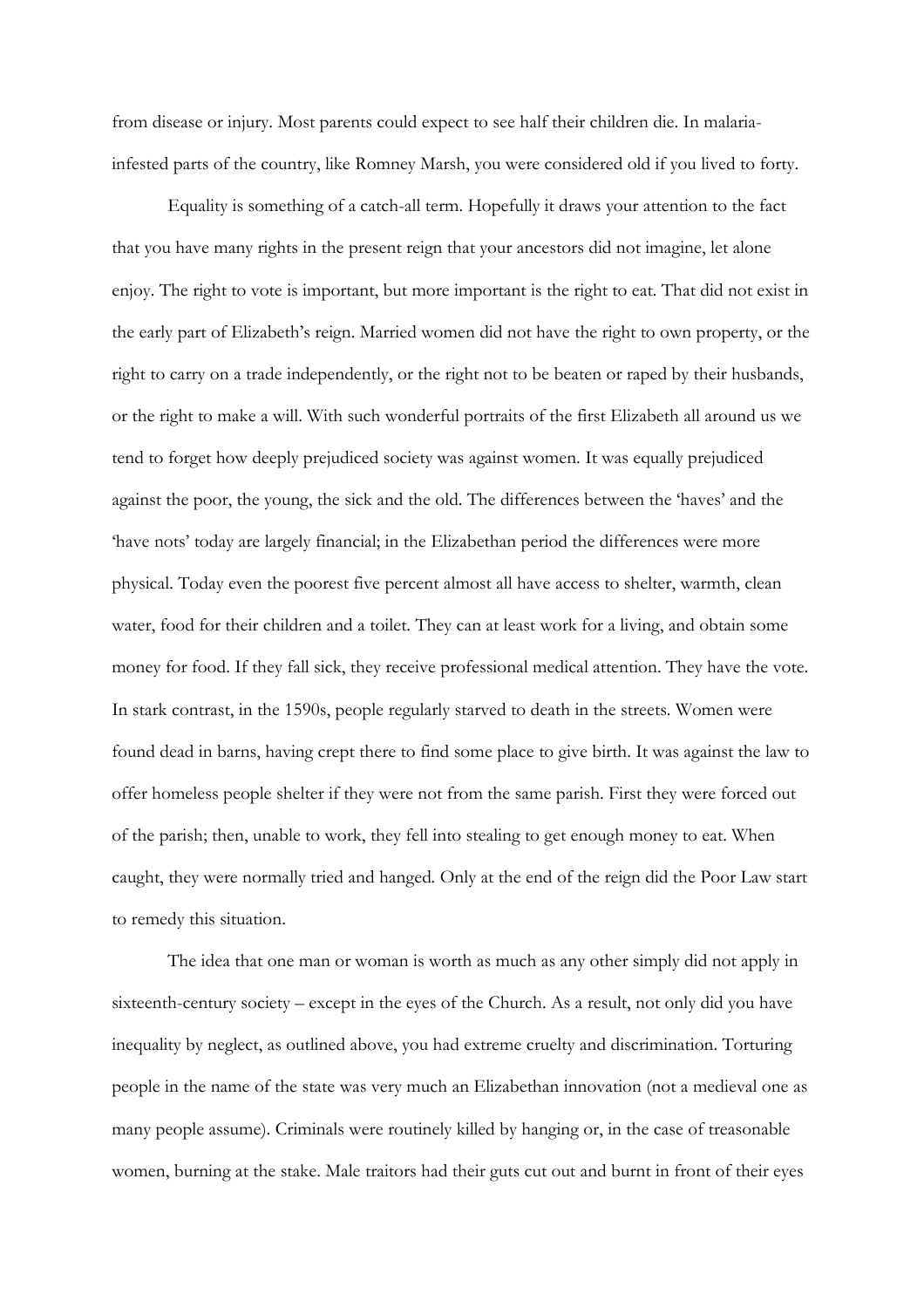from disease or injury. Most parents could expect to see half their children die. In malariainfested parts of the country, like Romney Marsh, you were considered old if you lived to forty.

 Equality is something of a catch-all term. Hopefully it draws your attention to the fact that you have many rights in the present reign that your ancestors did not imagine, let alone enjoy. The right to vote is important, but more important is the right to eat. That did not exist in the early part of Elizabeth's reign. Married women did not have the right to own property, or the right to carry on a trade independently, or the right not to be beaten or raped by their husbands, or the right to make a will. With such wonderful portraits of the first Elizabeth all around us we tend to forget how deeply prejudiced society was against women. It was equally prejudiced against the poor, the young, the sick and the old. The differences between the 'haves' and the 'have nots' today are largely financial; in the Elizabethan period the differences were more physical. Today even the poorest five percent almost all have access to shelter, warmth, clean water, food for their children and a toilet. They can at least work for a living, and obtain some money for food. If they fall sick, they receive professional medical attention. They have the vote. In stark contrast, in the 1590s, people regularly starved to death in the streets. Women were found dead in barns, having crept there to find some place to give birth. It was against the law to offer homeless people shelter if they were not from the same parish. First they were forced out of the parish; then, unable to work, they fell into stealing to get enough money to eat. When caught, they were normally tried and hanged. Only at the end of the reign did the Poor Law start to remedy this situation.

The idea that one man or woman is worth as much as any other simply did not apply in sixteenth-century society – except in the eyes of the Church. As a result, not only did you have inequality by neglect, as outlined above, you had extreme cruelty and discrimination. Torturing people in the name of the state was very much an Elizabethan innovation (not a medieval one as many people assume). Criminals were routinely killed by hanging or, in the case of treasonable women, burning at the stake. Male traitors had their guts cut out and burnt in front of their eyes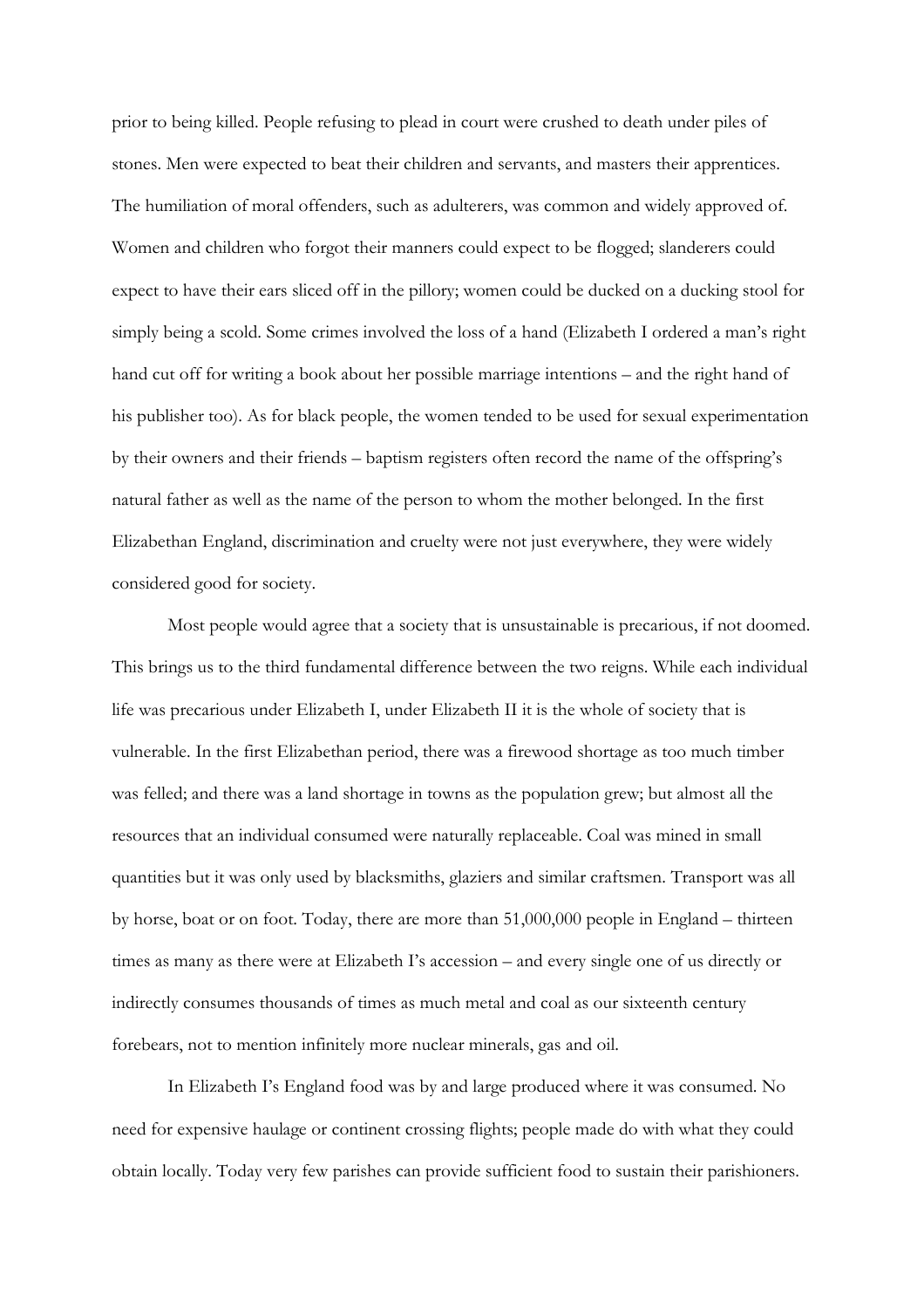prior to being killed. People refusing to plead in court were crushed to death under piles of stones. Men were expected to beat their children and servants, and masters their apprentices. The humiliation of moral offenders, such as adulterers, was common and widely approved of. Women and children who forgot their manners could expect to be flogged; slanderers could expect to have their ears sliced off in the pillory; women could be ducked on a ducking stool for simply being a scold. Some crimes involved the loss of a hand (Elizabeth I ordered a man's right hand cut off for writing a book about her possible marriage intentions – and the right hand of his publisher too). As for black people, the women tended to be used for sexual experimentation by their owners and their friends – baptism registers often record the name of the offspring's natural father as well as the name of the person to whom the mother belonged. In the first Elizabethan England, discrimination and cruelty were not just everywhere, they were widely considered good for society.

 Most people would agree that a society that is unsustainable is precarious, if not doomed. This brings us to the third fundamental difference between the two reigns. While each individual life was precarious under Elizabeth I, under Elizabeth II it is the whole of society that is vulnerable. In the first Elizabethan period, there was a firewood shortage as too much timber was felled; and there was a land shortage in towns as the population grew; but almost all the resources that an individual consumed were naturally replaceable. Coal was mined in small quantities but it was only used by blacksmiths, glaziers and similar craftsmen. Transport was all by horse, boat or on foot. Today, there are more than 51,000,000 people in England – thirteen times as many as there were at Elizabeth I's accession – and every single one of us directly or indirectly consumes thousands of times as much metal and coal as our sixteenth century forebears, not to mention infinitely more nuclear minerals, gas and oil.

In Elizabeth I's England food was by and large produced where it was consumed. No need for expensive haulage or continent crossing flights; people made do with what they could obtain locally. Today very few parishes can provide sufficient food to sustain their parishioners.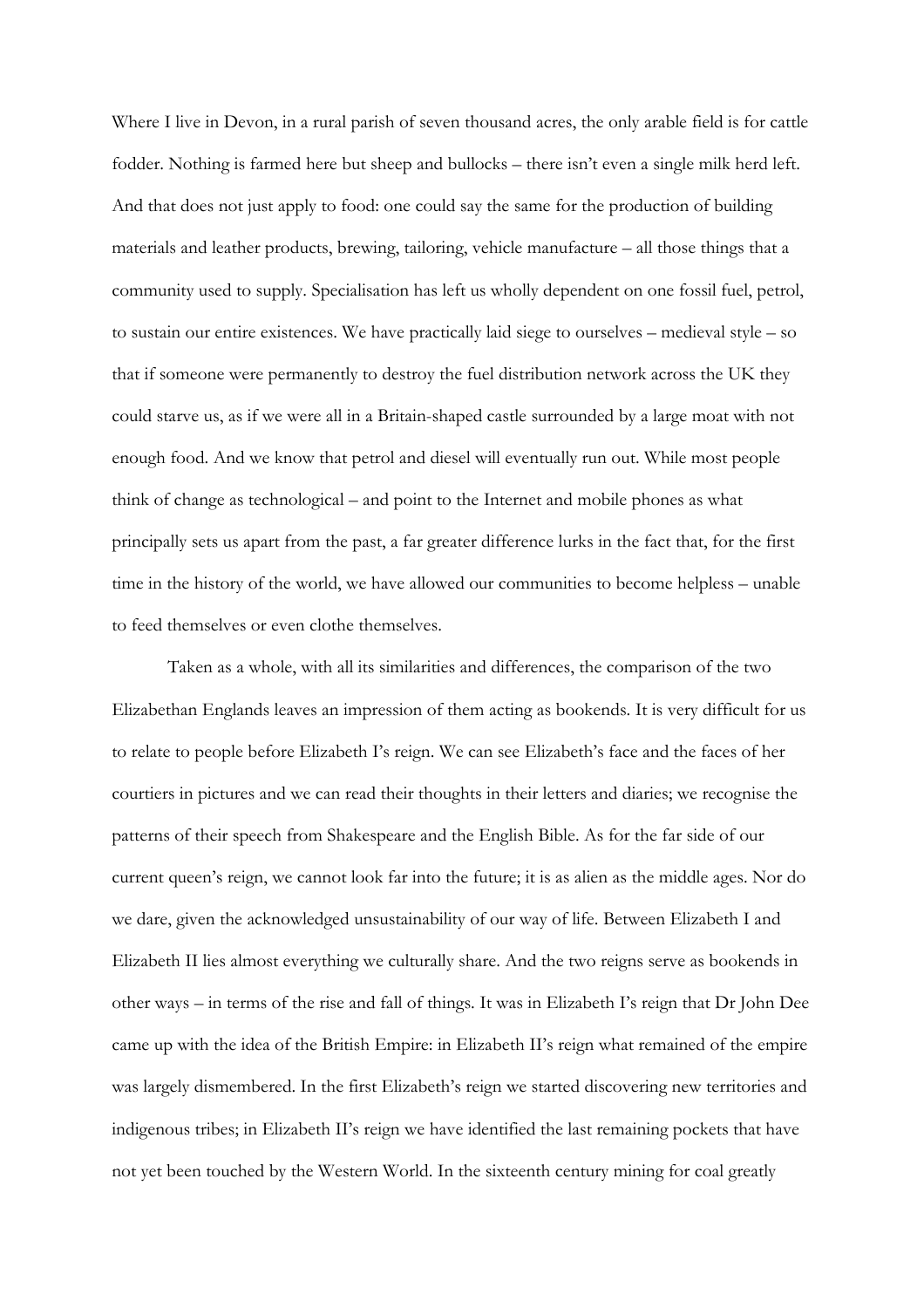Where I live in Devon, in a rural parish of seven thousand acres, the only arable field is for cattle fodder. Nothing is farmed here but sheep and bullocks – there isn't even a single milk herd left. And that does not just apply to food: one could say the same for the production of building materials and leather products, brewing, tailoring, vehicle manufacture – all those things that a community used to supply. Specialisation has left us wholly dependent on one fossil fuel, petrol, to sustain our entire existences. We have practically laid siege to ourselves – medieval style – so that if someone were permanently to destroy the fuel distribution network across the UK they could starve us, as if we were all in a Britain-shaped castle surrounded by a large moat with not enough food. And we know that petrol and diesel will eventually run out. While most people think of change as technological – and point to the Internet and mobile phones as what principally sets us apart from the past, a far greater difference lurks in the fact that, for the first time in the history of the world, we have allowed our communities to become helpless – unable to feed themselves or even clothe themselves.

Taken as a whole, with all its similarities and differences, the comparison of the two Elizabethan Englands leaves an impression of them acting as bookends. It is very difficult for us to relate to people before Elizabeth I's reign. We can see Elizabeth's face and the faces of her courtiers in pictures and we can read their thoughts in their letters and diaries; we recognise the patterns of their speech from Shakespeare and the English Bible. As for the far side of our current queen's reign, we cannot look far into the future; it is as alien as the middle ages. Nor do we dare, given the acknowledged unsustainability of our way of life. Between Elizabeth I and Elizabeth II lies almost everything we culturally share. And the two reigns serve as bookends in other ways – in terms of the rise and fall of things. It was in Elizabeth I's reign that Dr John Dee came up with the idea of the British Empire: in Elizabeth II's reign what remained of the empire was largely dismembered. In the first Elizabeth's reign we started discovering new territories and indigenous tribes; in Elizabeth II's reign we have identified the last remaining pockets that have not yet been touched by the Western World. In the sixteenth century mining for coal greatly